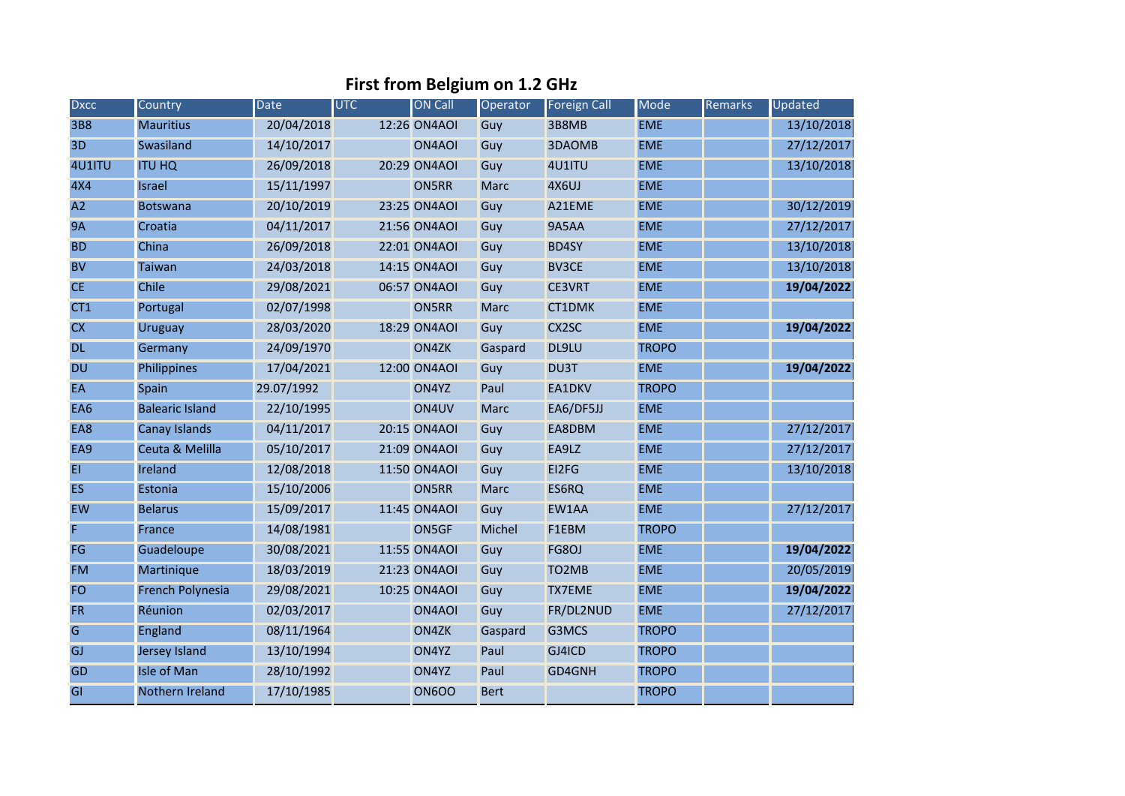## **First from Belgium on 1.2 GHz**

| <b>Dxcc</b> | Country                 | Date       | <b>UTC</b> | <b>ON Call</b> | Operator      | <b>Foreign Call</b> | Mode         | Remarks | Updated    |
|-------------|-------------------------|------------|------------|----------------|---------------|---------------------|--------------|---------|------------|
| <b>3B8</b>  | <b>Mauritius</b>        | 20/04/2018 |            | 12:26 ON4AOI   | Guy           | 3B8MB               | <b>EME</b>   |         | 13/10/2018 |
| 3D          | Swasiland               | 14/10/2017 |            | ON4AOI         | Guy           | 3DAOMB              | <b>EME</b>   |         | 27/12/2017 |
| 4U1ITU      | <b>ITU HQ</b>           | 26/09/2018 |            | 20:29 ON4AOI   | Guy           | 4U1ITU              | <b>EME</b>   |         | 13/10/2018 |
| 4X4         | <b>Israel</b>           | 15/11/1997 |            | ON5RR          | <b>Marc</b>   | 4X6UJ               | <b>EME</b>   |         |            |
| A2          | <b>Botswana</b>         | 20/10/2019 |            | 23:25 ON4AOI   | Guy           | A21EME              | <b>EME</b>   |         | 30/12/2019 |
| <b>9A</b>   | Croatia                 | 04/11/2017 |            | 21:56 ON4AOI   | Guy           | 9A5AA               | <b>EME</b>   |         | 27/12/2017 |
| <b>BD</b>   | China                   | 26/09/2018 |            | 22:01 ON4AOI   | Guy           | <b>BD4SY</b>        | <b>EME</b>   |         | 13/10/2018 |
| <b>BV</b>   | <b>Taiwan</b>           | 24/03/2018 |            | 14:15 ON4AOI   | Guy           | <b>BV3CE</b>        | <b>EME</b>   |         | 13/10/2018 |
| <b>CE</b>   | Chile                   | 29/08/2021 |            | 06:57 ON4AOI   | Guy           | <b>CE3VRT</b>       | <b>EME</b>   |         | 19/04/2022 |
| CT1         | Portugal                | 02/07/1998 |            | ON5RR          | <b>Marc</b>   | CT1DMK              | <b>EME</b>   |         |            |
| CX          | Uruguay                 | 28/03/2020 |            | 18:29 ON4AOI   | Guy           | CX2SC               | <b>EME</b>   |         | 19/04/2022 |
| <b>DL</b>   | Germany                 | 24/09/1970 |            | ON4ZK          | Gaspard       | DL9LU               | <b>TROPO</b> |         |            |
| <b>DU</b>   | Philippines             | 17/04/2021 |            | 12:00 ON4AOI   | Guy           | <b>DU3T</b>         | <b>EME</b>   |         | 19/04/2022 |
| EA          | Spain                   | 29.07/1992 |            | ON4YZ          | Paul          | EA1DKV              | <b>TROPO</b> |         |            |
| EA6         | <b>Balearic Island</b>  | 22/10/1995 |            | ON4UV          | <b>Marc</b>   | EA6/DF5JJ           | <b>EME</b>   |         |            |
| EA8         | <b>Canay Islands</b>    | 04/11/2017 |            | 20:15 ON4AOI   | Guy           | EA8DBM              | <b>EME</b>   |         | 27/12/2017 |
| EA9         | Ceuta & Melilla         | 05/10/2017 |            | 21:09 ON4AOI   | Guy           | EA9LZ               | <b>EME</b>   |         | 27/12/2017 |
| EI          | Ireland                 | 12/08/2018 |            | 11:50 ON4AOI   | Guy           | EI2FG               | <b>EME</b>   |         | 13/10/2018 |
| <b>ES</b>   | Estonia                 | 15/10/2006 |            | ON5RR          | <b>Marc</b>   | ES6RQ               | <b>EME</b>   |         |            |
| <b>EW</b>   | <b>Belarus</b>          | 15/09/2017 |            | 11:45 ON4AOI   | Guy           | EW1AA               | <b>EME</b>   |         | 27/12/2017 |
| F           | France                  | 14/08/1981 |            | ON5GF          | <b>Michel</b> | F1EBM               | <b>TROPO</b> |         |            |
| FG          | Guadeloupe              | 30/08/2021 |            | 11:55 ON4AOI   | Guy           | FG8OJ               | <b>EME</b>   |         | 19/04/2022 |
| <b>FM</b>   | Martinique              | 18/03/2019 |            | 21:23 ON4AOI   | Guy           | TO <sub>2</sub> MB  | <b>EME</b>   |         | 20/05/2019 |
| <b>FO</b>   | <b>French Polynesia</b> | 29/08/2021 |            | 10:25 ON4AOI   | Guy           | <b>TX7EME</b>       | <b>EME</b>   |         | 19/04/2022 |
| <b>FR</b>   | Réunion                 | 02/03/2017 |            | ON4AOI         | Guy           | FR/DL2NUD           | <b>EME</b>   |         | 27/12/2017 |
| G           | England                 | 08/11/1964 |            | ON4ZK          | Gaspard       | G3MCS               | <b>TROPO</b> |         |            |
| GJ          | <b>Jersey Island</b>    | 13/10/1994 |            | ON4YZ          | Paul          | GJ4ICD              | <b>TROPO</b> |         |            |
| <b>GD</b>   | <b>Isle of Man</b>      | 28/10/1992 |            | ON4YZ          | Paul          | GD4GNH              | <b>TROPO</b> |         |            |
| GI          | Nothern Ireland         | 17/10/1985 |            | <b>ON6OO</b>   | <b>Bert</b>   |                     | <b>TROPO</b> |         |            |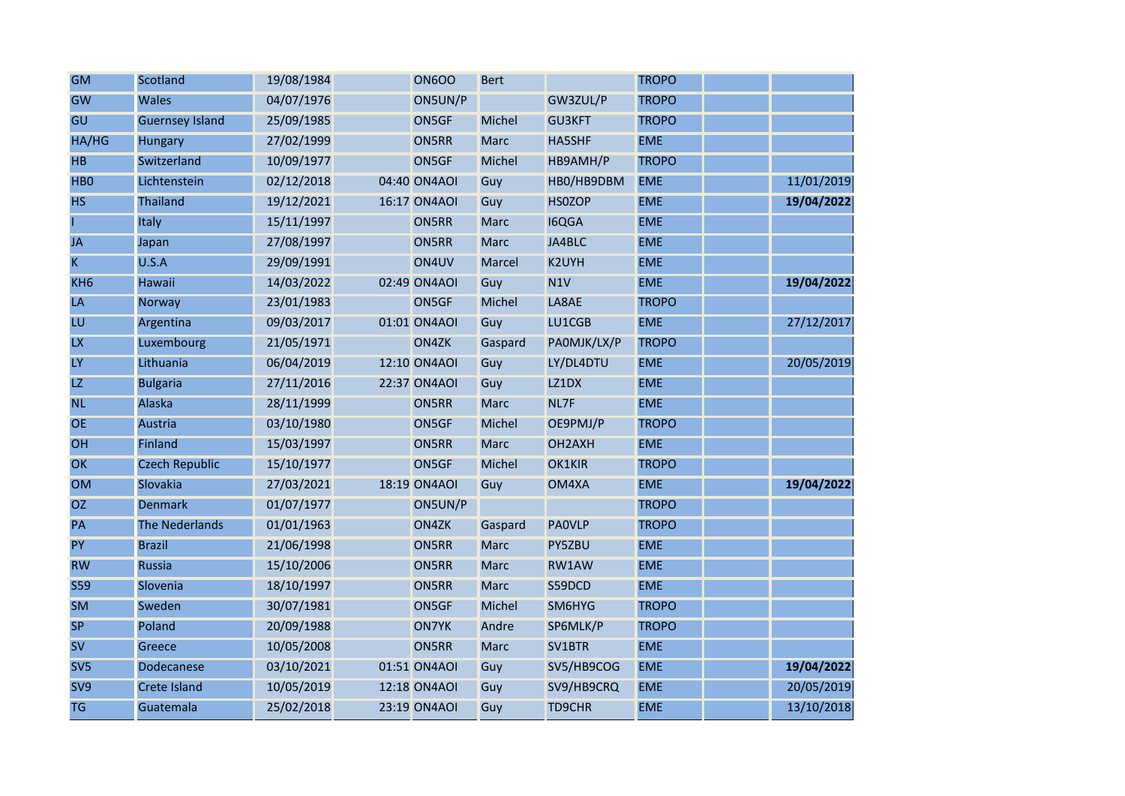| <b>GM</b>        | Scotland               | 19/08/1984 | <b>ON600</b> | <b>Bert</b>   |                     | <b>TROPO</b> |            |
|------------------|------------------------|------------|--------------|---------------|---------------------|--------------|------------|
| <b>GW</b>        | <b>Wales</b>           | 04/07/1976 | ON5UN/P      |               | GW3ZUL/P            | <b>TROPO</b> |            |
| GU               | <b>Guernsey Island</b> | 25/09/1985 | ON5GF        | Michel        | <b>GU3KFT</b>       | <b>TROPO</b> |            |
| HA/HG            | <b>Hungary</b>         | 27/02/1999 | <b>ON5RR</b> | <b>Marc</b>   | <b>HA5SHF</b>       | <b>EME</b>   |            |
| <b>HB</b>        | Switzerland            | 10/09/1977 | ON5GF        | <b>Michel</b> | HB9AMH/P            | <b>TROPO</b> |            |
| H <sub>B</sub> O | Lichtenstein           | 02/12/2018 | 04:40 ON4AOI | Guy           | HBO/HB9DBM          | <b>EME</b>   | 11/01/2019 |
| <b>HS</b>        | <b>Thailand</b>        | 19/12/2021 | 16:17 ON4AOI | Guy           | <b>HSOZOP</b>       | <b>EME</b>   | 19/04/2022 |
|                  | <b>Italy</b>           | 15/11/1997 | <b>ON5RR</b> | <b>Marc</b>   | <b>I6QGA</b>        | <b>EME</b>   |            |
| <b>JA</b>        | Japan                  | 27/08/1997 | <b>ON5RR</b> | <b>Marc</b>   | JA4BLC              | <b>EME</b>   |            |
| K                | U.S.A                  | 29/09/1991 | ON4UV        | Marcel        | K2UYH               | <b>EME</b>   |            |
| KH <sub>6</sub>  | <b>Hawaii</b>          | 14/03/2022 | 02:49 ON4AOI | Guy           | N1V                 | <b>EME</b>   | 19/04/2022 |
| LA               | Norway                 | 23/01/1983 | ON5GF        | <b>Michel</b> | LA8AE               | <b>TROPO</b> |            |
| LU               | Argentina              | 09/03/2017 | 01:01 ON4AOI | Guy           | LU1CGB              | <b>EME</b>   | 27/12/2017 |
| <b>LX</b>        | Luxembourg             | 21/05/1971 | ON4ZK        | Gaspard       | PAOMJK/LX/P         | <b>TROPO</b> |            |
| LY               | Lithuania              | 06/04/2019 | 12:10 ON4AOI | Guy           | LY/DL4DTU           | <b>EME</b>   | 20/05/2019 |
| LZ               | <b>Bulgaria</b>        | 27/11/2016 | 22:37 ON4AOI | Guy           | LZ1DX               | <b>EME</b>   |            |
| <b>NL</b>        | Alaska                 | 28/11/1999 | <b>ON5RR</b> | <b>Marc</b>   | NL7F                | <b>EME</b>   |            |
| <b>OE</b>        | Austria                | 03/10/1980 | ON5GF        | <b>Michel</b> | OE9PMJ/P            | <b>TROPO</b> |            |
| OH               | Finland                | 15/03/1997 | <b>ON5RR</b> | <b>Marc</b>   | OH <sub>2</sub> AXH | <b>EME</b>   |            |
| OK               | <b>Czech Republic</b>  | 15/10/1977 | ON5GF        | <b>Michel</b> | <b>OK1KIR</b>       | <b>TROPO</b> |            |
| <b>OM</b>        | Slovakia               | 27/03/2021 | 18:19 ON4AOI | Guy           | OM4XA               | <b>EME</b>   | 19/04/2022 |
| <b>OZ</b>        | <b>Denmark</b>         | 01/07/1977 | ON5UN/P      |               |                     | <b>TROPO</b> |            |
| PA               | The Nederlands         | 01/01/1963 | ON4ZK        | Gaspard       | <b>PAOVLP</b>       | <b>TROPO</b> |            |
| PY               | <b>Brazil</b>          | 21/06/1998 | <b>ON5RR</b> | <b>Marc</b>   | PY5ZBU              | <b>EME</b>   |            |
| <b>RW</b>        | <b>Russia</b>          | 15/10/2006 | <b>ON5RR</b> | <b>Marc</b>   | RW1AW               | <b>EME</b>   |            |
| <b>S59</b>       | Slovenia               | 18/10/1997 | <b>ON5RR</b> | <b>Marc</b>   | S59DCD              | <b>EME</b>   |            |
| <b>SM</b>        | Sweden                 | 30/07/1981 | ON5GF        | Michel        | SM6HYG              | <b>TROPO</b> |            |
| <b>SP</b>        | Poland                 | 20/09/1988 | <b>ON7YK</b> | Andre         | SP6MLK/P            | <b>TROPO</b> |            |
| <b>SV</b>        | Greece                 | 10/05/2008 | ON5RR        | <b>Marc</b>   | SV1BTR              | <b>EME</b>   |            |
| SV <sub>5</sub>  | Dodecanese             | 03/10/2021 | 01:51 ON4AOI | Guy           | SV5/HB9COG          | <b>EME</b>   | 19/04/2022 |
| SV9              | <b>Crete Island</b>    | 10/05/2019 | 12:18 ON4AOI | Guy           | SV9/HB9CRQ          | <b>EME</b>   | 20/05/2019 |
| <b>TG</b>        | Guatemala              | 25/02/2018 | 23:19 ON4AOI | Guy           | <b>TD9CHR</b>       | <b>EME</b>   | 13/10/2018 |